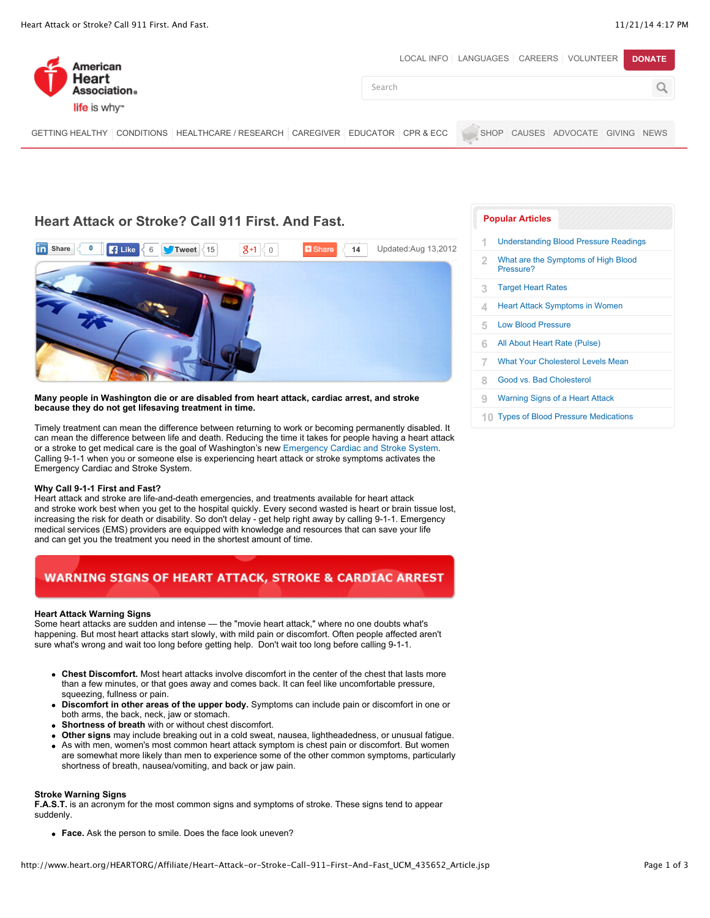| American                                                                      | LOCAL INFO   LANGUAGES   CAREERS   VOLUNTEER  <br><b>DONATE</b> |
|-------------------------------------------------------------------------------|-----------------------------------------------------------------|
| Heart<br>Association.                                                         | Search                                                          |
| life is why"                                                                  |                                                                 |
| GETTING HEALTHY CONDITIONS HEALTHCARE / RESEARCH CAREGIVER EDUCATOR CPR & ECC | SHOP CAUSES ADVOCATE GIVING NEWS                                |

## **Heart Attack or Stroke? Call 911 First. And Fast.**



#### **Many people in Washington die or are disabled from heart attack, cardiac arrest, and stroke because they do not get lifesaving treatment in time.**

Timely treatment can mean the difference between returning to work or becoming permanently disabled. It can mean the difference between life and death. Reducing the time it takes for people having a heart attack or a stroke to get medical care is the goal of Washington's new [Emergency Cardiac and Stroke System](http://www.doh.wa.gov/PublicHealthandHealthcareProviders/EmergencyMedicalServicesEMSSystems/EmergencyCardiacandStrokeSystem.aspx). Calling 9-1-1 when you or someone else is experiencing heart attack or stroke symptoms activates the Emergency Cardiac and Stroke System.

#### **Why Call 9-1-1 First and Fast?**

Heart attack and stroke are life-and-death emergencies, and treatments available for heart attack and stroke work best when you get to the hospital quickly. Every second wasted is heart or brain tissue lost, increasing the risk for death or disability. So don't delay - get help right away by calling 9-1-1. Emergency medical services (EMS) providers are equipped with knowledge and resources that can save your life and can get you the treatment you need in the shortest amount of time.

## **WARNING SIGNS OF HEART ATTACK, STROKE & CARDIAC ARREST**

#### **Heart Attack Warning Signs**

Some heart attacks are sudden and intense — the "movie heart attack," where no one doubts what's happening. But most heart attacks start slowly, with mild pain or discomfort. Often people affected aren't sure what's wrong and wait too long before getting help. Don't wait too long before calling 9-1-1.

- **Chest Discomfort.** Most heart attacks involve discomfort in the center of the chest that lasts more than a few minutes, or that goes away and comes back. It can feel like uncomfortable pressure, squeezing, fullness or pain.
- **Discomfort in other areas of the upper body.** Symptoms can include pain or discomfort in one or both arms, the back, neck, jaw or stomach.
- **Shortness of breath** with or without chest discomfort.
- **Other signs** may include breaking out in a cold sweat, nausea, lightheadedness, or unusual fatigue. As with men, women's most common heart attack symptom is chest pain or discomfort. But women are somewhat more likely than men to experience some of the other common symptoms, particularly shortness of breath, nausea/vomiting, and back or jaw pain.

#### **Stroke Warning Signs**

**F.A.S.T.** is an acronym for the most common signs and symptoms of stroke. These signs tend to appear suddenly.

**Face.** Ask the person to smile. Does the face look uneven?

#### **[Popular Articles](http://www.heart.org/HEARTORG/Affiliate/Heart-Attack-or-Stroke-Call-911-First-And-Fast_UCM_435652_Article.jsp#wcm_fragment-popularWidget1)**

| 1 | <b>Understanding Blood Pressure Readings</b>     |
|---|--------------------------------------------------|
| 2 | What are the Symptoms of High Blood<br>Pressure? |
| 3 | <b>Target Heart Rates</b>                        |
| 4 | <b>Heart Attack Symptoms in Women</b>            |
| 5 | <b>Low Blood Pressure</b>                        |
| 6 | All About Heart Rate (Pulse)                     |
| 7 | <b>What Your Cholesterol Levels Mean</b>         |
| 8 | Good vs. Bad Cholesterol                         |
| 9 | <b>Warning Signs of a Heart Attack</b>           |
|   | 10 Types of Blood Pressure Medications           |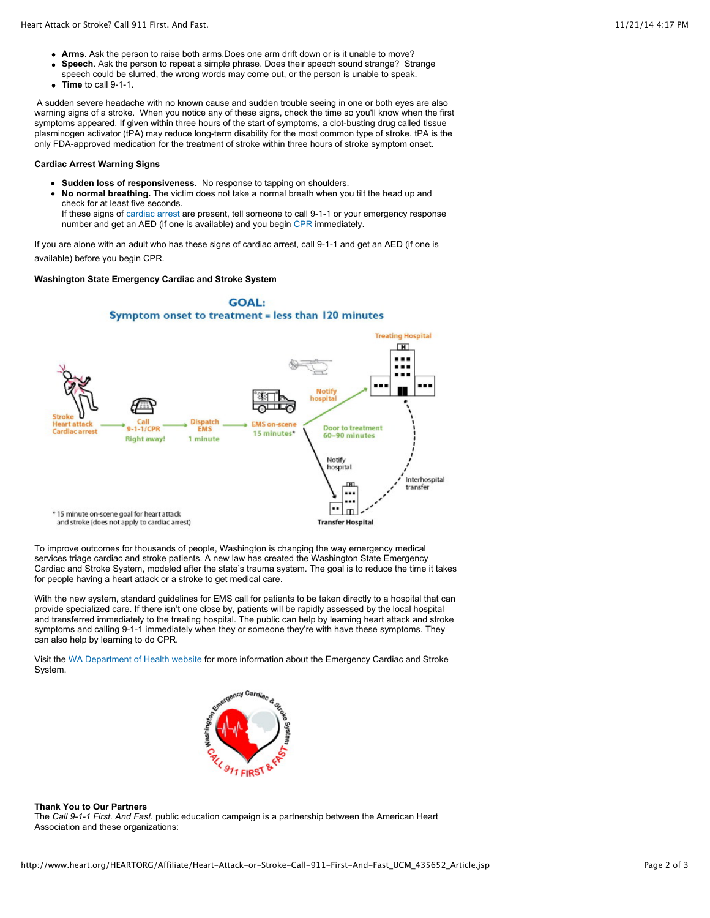- **Arms**. Ask the person to raise both arms.Does one arm drift down or is it unable to move?
- **Speech**. Ask the person to repeat a simple phrase. Does their speech sound strange? Strange  $\bullet$
- speech could be slurred, the wrong words may come out, or the person is unable to speak.
- **Time** to call 9-1-1.

A sudden severe headache with no known cause and sudden trouble seeing in one or both eyes are also warning signs of a stroke. When you notice any of these signs, check the time so you'll know when the first symptoms appeared. If given within three hours of the start of symptoms, a clot-busting drug called tissue plasminogen activator (tPA) may reduce long-term disability for the most common type of stroke. tPA is the only FDA-approved medication for the treatment of stroke within three hours of stroke symptom onset.

#### **Cardiac Arrest Warning Signs**

- **Sudden loss of responsiveness.** No response to tapping on shoulders.
- **No normal breathing.** The victim does not take a normal breath when you tilt the head up and check for at least five seconds.

If these signs of [cardiac arrest](http://www.heart.org/HEARTORG/Conditions/More/CardiacArrest/Cardiac-Arrest_UCM_002081_SubHomePage.jsp) are present, tell someone to call 9-1-1 or your emergency response number and get an AED (if one is available) and you begin [CPR](http://handsonlycpr.org/) immediately.

If you are alone with an adult who has these signs of cardiac arrest, call 9-1-1 and get an AED (if one is available) before you begin CPR.

#### **Washington State Emergency Cardiac and Stroke System**



To improve outcomes for thousands of people, Washington is changing the way emergency medical services triage cardiac and stroke patients. A new law has created the Washington State Emergency Cardiac and Stroke System, modeled after the state's trauma system. The goal is to reduce the time it takes for people having a heart attack or a stroke to get medical care.

With the new system, standard guidelines for EMS call for patients to be taken directly to a hospital that can provide specialized care. If there isn't one close by, patients will be rapidly assessed by the local hospital and transferred immediately to the treating hospital. The public can help by learning heart attack and stroke symptoms and calling 9-1-1 immediately when they or someone they're with have these symptoms. They can also help by learning to do CPR.

Visit the [WA Department of Health website](http://www.doh.wa.gov/PublicHealthandHealthcareProviders/EmergencyMedicalServicesEMSSystems/EmergencyCardiacandStrokeSystem.aspx) for more information about the Emergency Cardiac and Stroke System.



#### **Thank You to Our Partners**

The *Call 9-1-1 First. And Fast.* public education campaign is a partnership between the American Heart Association and these organizations: